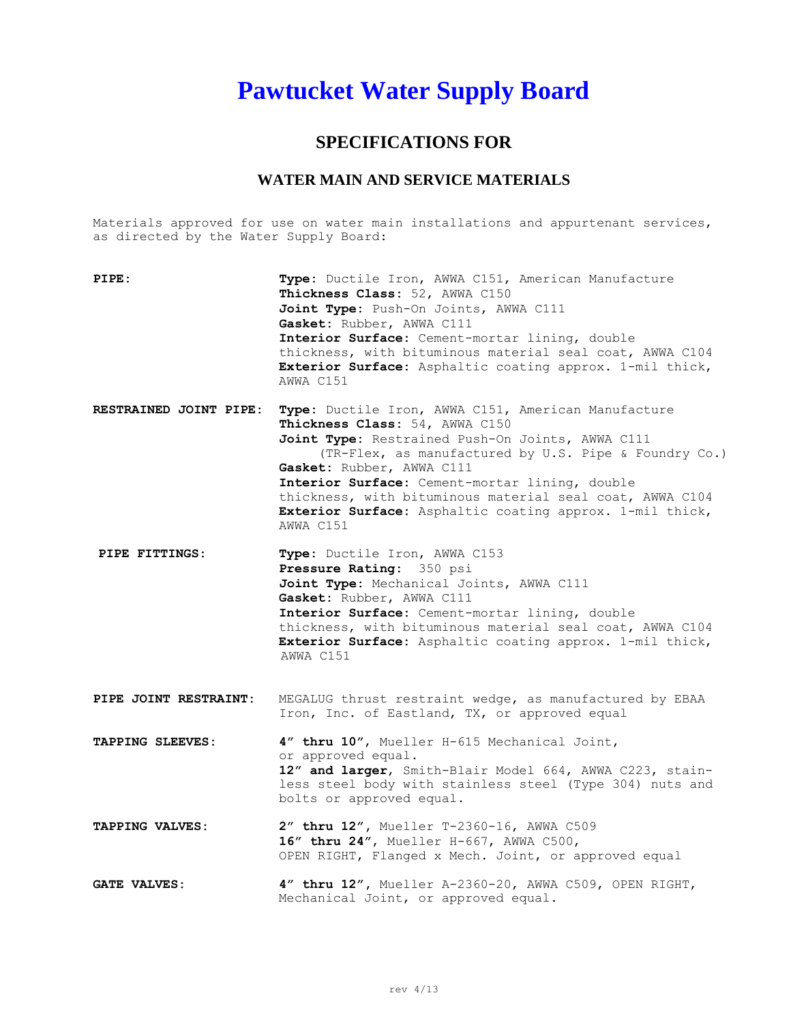## **Pawtucket Water Supply Board**

## **SPECIFICATIONS FOR**

## **WATER MAIN AND SERVICE MATERIALS**

Materials approved for use on water main installations and appurtenant services, as directed by the Water Supply Board:

| PIPE:                  | Type: Ductile Iron, AWWA C151, American Manufacture<br>Thickness Class: 52, AWWA C150<br>Joint Type: Push-On Joints, AWWA C111<br>Gasket: Rubber, AWWA C111<br>Interior Surface: Cement-mortar lining, double<br>thickness, with bituminous material seal coat, AWWA C104<br>Exterior Surface: Asphaltic coating approx. 1-mil thick,<br>AWWA C151                                                                     |
|------------------------|------------------------------------------------------------------------------------------------------------------------------------------------------------------------------------------------------------------------------------------------------------------------------------------------------------------------------------------------------------------------------------------------------------------------|
| RESTRAINED JOINT PIPE: | Type: Ductile Iron, AWWA C151, American Manufacture<br>Thickness Class: 54, AWWA C150<br>Joint Type: Restrained Push-On Joints, AWWA C111<br>(TR-Flex, as manufactured by U.S. Pipe & Foundry Co.)<br>Gasket: Rubber, AWWA C111<br>Interior Surface: Cement-mortar lining, double<br>thickness, with bituminous material seal coat, AWWA C104<br>Exterior Surface: Asphaltic coating approx. 1-mil thick,<br>AWWA C151 |
| PIPE FITTINGS:         | Type: Ductile Iron, AWWA C153<br>Pressure Rating: 350 psi<br>Joint Type: Mechanical Joints, AWWA C111<br>Gasket: Rubber, AWWA C111<br>Interior Surface: Cement-mortar lining, double<br>thickness, with bituminous material seal coat, AWWA C104<br>Exterior Surface: Asphaltic coating approx. 1-mil thick,<br>AWWA C151                                                                                              |
| PIPE JOINT RESTRAINT:  | MEGALUG thrust restraint wedge, as manufactured by EBAA<br>Iron, Inc. of Eastland, TX, or approved equal                                                                                                                                                                                                                                                                                                               |
| TAPPING SLEEVES:       | 4" thru 10", Mueller H-615 Mechanical Joint,<br>or approved equal.<br>12" and larger, Smith-Blair Model 664, AWWA C223, stain-<br>less steel body with stainless steel (Type 304) nuts and<br>bolts or approved equal.                                                                                                                                                                                                 |
| TAPPING VALVES:        | 2" thru 12", Mueller T-2360-16, AWWA C509<br>16" thru 24", Mueller H-667, AWWA C500,<br>OPEN RIGHT, Flanged x Mech. Joint, or approved equal                                                                                                                                                                                                                                                                           |
| <b>GATE VALVES:</b>    | 4" thru 12", Mueller A-2360-20, AWWA C509, OPEN RIGHT,<br>Mechanical Joint, or approved equal.                                                                                                                                                                                                                                                                                                                         |